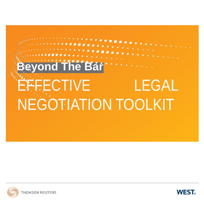# **The Bar** EFFECTIVE LEGAL NEGOTIATION TOOLKIT



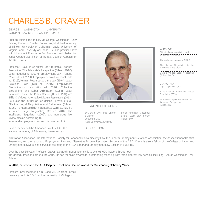### CHARLES B. CRAVER

GEORGE WASHINGTON UNIVERSITY NATIONAL LAW CENTER WASHINGTON DC

Prior to joining the faculty at George Washington Law School, Professor Charles Craver taught at the University of Illinois, University of California, Davis, University of Virginia, and University of Florida. He also practiced law with Morrison & Foerster in San Francisco and clerked for Judge George MacKinnon of the U.S. Court of Appeals for the D.C. Circuit.

Professor Craver is co-author of Alternative Dispute Resolution: The Advocate's Perspective (5th ed. 2016), Legal Negotiating (2007), Employment Law Treatise (2 Vol. 5th ed. 2014), Employment Law Hornbook (5th ed. 2015), Human Resources and the Law (1994), Labor Relations Law (13th ed. 2016), Employment Discrimination Law (8th ed. 2016), Collective Bargaining and Labor Arbitration (1988), Labor Relations Law in the Public Sector (4th ed. 1991), and Skills & Values: Alternative Dispute Resolution (2013). He is also the author of Can Unions Survive? (1993), Effective Legal Negotiation and Settlement (8th ed. 2016), The Art of Negotiation in the Business World (2014); Skills & Values: Legal Negotiating (3rd ed. 2016), The Intelligent Negotiator (2002), and numerous law review articles pertaining to

labor and employment law and dispute resolution.

He is a member of the American Law Institute, the National Academy of Arbitrators, the American



LEGAL NEGOTIATING

By Gerald R. Williams, Charles B Craver Copyright: 2007 ISBN-13: 9780314066060

#### DESCRIPTION

Series: American Casebook Brand: West Law School Pages: 249

AUTHOR Effective Legal Negotiation and Settlement (8th ed. 2016)  $- - - -$ 

The intelligent Negotiator (2002)

The Art of Negotiation in the Business World (2014)

Skills & Values: Legal Negotiating (3rd ed. 2016)

CO-AUTHOR

Legal Negotiating (2007)

Skills & Values: Alternative Dispute Resolution (2013)

Alternative Dispute Resolution The Advocates Perspective (5th ed. 2016)

Arbitration Association, the International Society for Labor and Social Security Law, the Labor & Employment Relations Association, the Association for Conflict Resolution, and the Labor and Employment Law and Alternative Dispute Resolution Sections of the ABA. Craver is also a fellow of the College of Labor and Employment Lawyers, and served as secretary to the ABA Labor and Employment Law Section in 1986-87.

Over the past 35 years, Professor Craver has taught negotiation skills to over 95,000 lawyers throughout the United States and around the world. He has received awards for outstanding teaching from three different law schools, including George Washington Law School.

#### In 2018, he received the ABA Dispute Resolution Section Award for Outstanding Scholarly Work.

Professor Craver earned his B.S. and M.I.L.R. from Cornell University and his J.D. from the University of Michigan.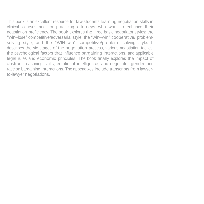This book is an excellent resource for law students learning negotiation skills in clinical courses and for practicing attorneys who want to enhance their negotiation proficiency. The book explores the three basic negotiator styles: the "win–lose" competitive/adversarial style; the "win–win" cooperative/ problemsolving style; and the "WIN–win" competitive/problem- solving style. It describes the six stages of the negotiation process, various negotiation tactics, the psychological factors that influence bargaining interactions, and applicable legal rules and economic principles. The book finally explores the impact of abstract reasoning skills, emotional intelligence, and negotiator gender and race on bargaining interactions. The appendixes include transcripts from lawyerto-lawyer negotiations.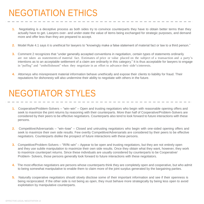# NEGOTIATION ETHICS

- **1.** Negotiating is a deceptive process as both sides try to convince counterparts they have to obtain better terms than they actually have to get. Lawyers over- and under-state the value of items being exchanged for strategic purposes, and demand more and offer less than they are prepared to accept.
- **2.** Model Rule 4.1 says it is unethical for lawyers to "knowingly make a false statement of material fact or law to a third person."
- **3.** Comment 2 recognizes that "under generally accepted conventions in negotiation, certain types of statements ordinarily are not taken as statements of material fact. Estimates of price or value placed on the subject of a transaction and a party's intentions as to an acceptable settlement of a claim are ordinarily in this category." It is thus acceptable for lawyers to engage in "puffing" and "embellishment" when they negotiate in an effort to advance their side'sinterests.
- **4.** Attorneys who misrepresent material information behave unethically and expose their clients to liability for fraud. Their reputations for dishonesty will also undermine their ability to negotiate with others in the future.

# NEGOTIATOR STYLES

- **1.** Cooperative/Problem-Solvers "win–win" Open and trusting negotiators who begin with reasonable opening offers and seek to maximize the joint returns by reasoning with their counterparts. More than half of Cooperative/Problem-Solvers are considered by their peers to be effective negotiators. Counterparts also tend to look forward to future interactions with these persons.
- **2.** Competitive/Adversarials "win–lose" Closed and untrusting negotiators who begin with one-sided opening offers and seek to maximize their own side results. Few overtly Competitive/Adversarials are considered by their peers to be effective negotiators. Counterparts dislike the prospect of future interactions with these persons.
- **3.** Competitive/Problem-Solvers "WIN–win" Appear to be open and trusting negotiators, but they are not entirely open and they use subtle manipulation to maximize their own side results. Once they obtain what they want, however, they work to maximize counterpart returns. Since these individuals are usually considered by counterparts to be Cooperative/ Problem- Solvers, those persons generally look forward to future interactions with these negotiators.
- **4.** The most effective negotiators are persons whose counterparts think they are completely open and cooperative, but who admit to being somewhat manipulative to enable them to claim more of the joint surplus generated by the bargaining parties.
- **5.** Naturally cooperative negotiators should slowly disclose some of their important information and see if their openness is being reciprocated. If the other side is not being as open, they must behave more strategically by being less open to avoid exploitation by manipulative counterparts.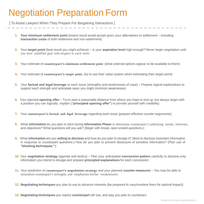## Negotiation Preparation Form

[ To Assist Lawyers When They Prepare For Bargaining Interactions ]

- **1. Your minimum settlement point** (lowest result would accept given your alternatives to settlement Including transaction costs of both settlement and non-settlement):
- **2.** Your **target point** (best result you might achieve) Is your **aspiration level** high enough? Never begin negotiation until you have solidified goal with respect to each item:
- **3.** Your estimate of **counterpart's minimum settlement point** (what external options appear to be available to them):
- **4.** Your estimate of **counterpart's target point** (try to use their value system when estimating their target point):
- **5.** Your **factual and legal leverage** re each issue (strengths and weaknesses of case) Prepare logical explanations to support each strength and anticipate ways you might minimize weaknesses:
- **6.** Your planned **opening offer** Try to start a reasonable distance from where you hope to end up, but always begin with a position you can logically explain (**"principled opening offer"**) to provide yourself with credibility:
- **7.** Your **counterpart's factual and legal leverage** regarding each issue (prepare effective counter-arguments):
- **8.** What **information** do you plan to elicit during **Information Phase** to determine counterpart's underlying needs, interests, and objectives? What questions will you ask? (Begin with broad, open-ended questions.):
- **9.** What **information** are you **willing to disclose** and how do you plan to divulge it? (Best to disclose important information in response to counterpart questions.) How do you plan to prevent disclosure of sensitive information? (Plan use of **"blocking techniques."**):
- **10.** Your **negotiation strategy** (agenda and tactics) Plan your anticipated **concession pattern** carefully to disclose only information you intend to divulge and prepare **principled explanations** for each concession:
- **11.** Your prediction of **counterpart's negotiation strategy** and your planned **counter-measures**  You may be able to neutralize counterpart's strengths and emphasize his/her weaknesses:
- **12. Negotiating techniques** you plan to use to advance interests (be prepared to vary/combine them for optimal impact):
- **13. Negotiating techniques** you expect **counterpart** will use, and way you plan to counteract: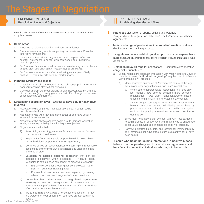### **I** PREPARATION STAGE<br>
Establishing Limits and Objectives<br> **External objectives PREPARATION STAGE**

Learning about own *and* counterpart's circumstances critical to achievement of optimal results.

#### **1. Basic Areas**

- **a.** Prepared re relevant facts, law and economics issues.
- **b.** Prepare relevant arguments supporting *own positions*  Consider innovative formulations.
- **c.** Anticipate *other side's arguments* and prepare effective counter- arguments to bolster own confidence and undermine that of opponent.
- **d.** Don't over-estimate own weaknesses you see that may not be obvious to other side, and don't ignore weaknesses of other side.
- **e.** Don't use own value system when evaluating counterpart's likely position – Try to place self in counterpart's shoes.

- **a.** Carefully plan desired methodology as if choreographing movement from your opening offer to final objectives.
- **b.** Consider appropriate modifications to plan necessitated by changed concessions by counterpart).

#### **3. Establishing aspiration level – Critical to have goal for** *each item* **involved**

- **a.** Negotiators who begin with high aspirations obtain better results than those who don't.
- **b.** Negotiators who wish they had done better at end have usually achieved desirable results.
- **c.** Negotiators who always achieve goals should increase aspiration levels, since they probably have inadequate objectives.
- **d.** Negotiators should initially:
	- 1) Seek high yet seemingly reasonable positionsthat won't cause counterparts to lose interest.
	- 2) Begin as far from actual goals as possible while being able to rationally defend proposals (**"anchoring effect"**).
	- 3) Convince selves of reasonableness of seemingly unreasonable positions to bolster their own **confidence** and undermine that of the other side.
	- 4) **Establish "principled opening positions"** that can be defended objectively when presented – Prepare logical rationales to explain each component to preserve creditability.
		- a. Explains reasons for choosing positions selected, rather than less beneficial starting points.
		- b. Frequently allows person to control agenda, by causing others to focus on each segment of stated positions
	- 5) **Determine best alternatives to negotiated agreements (BATNA)**, to realize consequences of nonsettlements – If nonsettlements preferable to final counterpart offers, reject those offers and accept nonsttlement option.
	- 6) **Try to estimate** *counterpart's* nonsettlement options If they are worse than your option, then you have greater bargaining power.

- 
- 
- 

#### **2. Planning Strategy and tactics**

- 
- circumstances (*e.g.*, overly generous first offer of large subsequent

- 
- 
- 1) Many attorneys enamored of "adversarial" nature of the legal system and view negotiations as "win–lose" interactions. a. When others depersonalize Interactions (*e.g.*, use only last names), take time to establish more personal relationships – Use warm handshakes/other casual

**PRELIMINARY STAGE Establishing Identities and Tone**

(background/firm) and experience.

way bargaining will proceed.

agreements.

do not do so.

congenial/unfriendly, etc.

**1. Ritualistic** discussion of sports, politics and weather.

People who rush negotiations take longer and generate less efficient

**2. Initial exchange of professional/ personal information** re status

**3. Negotiators who establish good rapport** with counterparts have more pleasant interactions and more efficient results than those who

**4. Establishing overt tone** for negotiations – Competitive/cooperative,

**a.** When negotiators approach interaction with vastly different views of tone for process, **"attitudinal bargaining"** may be used to influence

> If negotiating in counterpart offices and feel uncomfortable, have counterparts created intimidating atmosphere by placing you in uncomfortable chair or with back against wall, or by placing themselves in raised position of dominance.

touching and maintain non–threatening eye contact.

- 2) Since most negotiations can achieve "win–win" results, good to begin process in cooperative and trusting way to encourage cooperative behavior and enhance probability of success.
- 3) Party who dictates time, date, and location for interaction may gain psychological advantage before substantive talks have even begun.
- **5. People who begin bargaining interactions in positive moods**  behave more cooperatively, reach more efficient agreements, and have fewer impasses than individuals who begin in bad moods.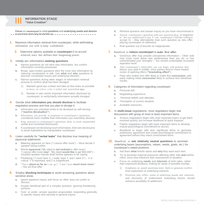

#### **INFORMATION STAGE "Value Creation"**

**Focus** on **counterpart's** initial **positions** and **underlying needs and desires**  $t-1$  to ascertain what may be divided up.  $-1$  ,  $-1$  ,  $-1$  ,  $-1$  ,  $-1$  ,  $-1$  ,  $-1$  ,  $-1$ 

- **1.** Maximize information retrieval from counterpart, while withholding information you wish to keep confidential.
	- **2.** Determine options available to **counterpart** if no accord achieved, since this defines their bargaining power.

#### **3.** Initially ask **information seeking questions**.

- **a.** Narrow questions do not elicit new information, but confirm information currently possessed.
- **b.** Broad, open-ended questions elicit the most new information by inducing counterparts to talk. Use *what* and *why* questions to discover counterpart issues and underlying interests.
- **c.** Narrow questions during latter stages of information retrieval process to confirm what has been divulged.
	- 1) Maintain good eye contact and take as few notes as possible to focus on o ther side's verbal and nonverbal signs...
	- 2) Restate in own words important information disclosed by counterpart, to verify/clarify information actually divulged.

#### **4.** Decide what **information you should disclose** to facilitate negotiation process and how you plan to divulge it.

- **a.** Information you volunteer tends to be devalued as self-serving (**"reactive devaluation"**).
- **b.** Information you provide in response to counterpart's questions considered more credible than information you voluntarily disclose.
- **c.** Keep answers to counterpart's questions short to avoid unintended verbal and nonverbal disclosures.
- **d.** If counterpart not disclosing much information, limit own disclosures to avoid exploitation by manipulative counterpart.

#### **5.** Listen carefully for **"verbal leaks"** that disclose true meaning of equivocal statements.

- **a.** Meaning apparent on face ("I cannot offer more") Must decide if speaker being truthful.
- **b.** Words **equivocal** ("My client is **not inclined** to offer more"; "I cannot offer more **now**"; "My client **would like** to get \$50,000") – Doubtful speaker intends what he/she appears to be saying.
- **c.** Prioritizing ("I must have X, I really need Y, and I want  $Z''$ ) X is critical, Y is important, and Z is insignificant.
- **d.** "That's **about as far as** <sup>I</sup> can go;"; "I don't have **much more room**." – Not yet final offer.

#### **6.** Employ **blocking techniques** to avoid answering questions about sensitive areas.

- **a.** Ignore apparent inquiry and focus on other area you prefer to discuss.
- **b.** Answer beneficial part of a complex question, ignoring threatening portions.
- **c.** Over- or under- answer question propounded, responding generally to specific inquiry and narrowly to general inquiry.
- **d.** Reframe question and answer inquiry as you have misconstrued it.
- **e.** Answer counterpart's question with own question (*e.g.*, in response to 'Are you authorized to pay X" ask counterpart if he/she willing to  $accept(X)$  – May alternatively treat such question as new offer, placing counterpart on defensive.
- **f.** Rule question out of bounds as inappropriate.

#### **7.** Beneficial to **induce counterpart** to **make first offer**.

- **a.** Generous offer may provide unexpected information Other side may know more about own weaknesses than you do, or has overestimated your strengths – You should contemplate increased aspiration level.
- **b.** After counterpart's initial offer, you can begin with position that places your goal in middle, since parties tend to move toward center of opening offers (**"bracketing effect"**).
- **c.** Party who makes first offer likely to make first **concession**, with party making initial **concession** likely to achieve less beneficial results.

#### **8.** Categories of information regarding counterpart:

- **a.** Personal skill.
- **b.** Negotiating experience.
- **c.** Personal beliefs and attitudes.
- **d.** Perception of current situation.
- **e.** Available resources.
- **9.** In multi-issue negotiations, most negotiators begin real discussions with group of most or least important items.
	- **a.** Anxious negotiators begin with most important topics to get them resolved quickly, but increase likelihood of quick impasse.
	- **b.** Patient negotiators begin with least important items to develop mutual psychological commitment to accord.
	- **c.** Beneficial to begin with less significant items to generate preliminary agreement and create psychological commitment to agreement before they reach controverted items.

#### **10.** Beneficial to **ask relatively neutral questions** to ascertain underlying bases (assumptions, values, needs, goals, etc.) for counterpart's stated positions.

- **a.** Ask them **what** he/she wants and **why** they want each item.
- **b.** Try to ascertain external pressures affecting other side **and** his/her client, since they influence their assessment of situation.
- **c.** Focus on underlying **needs** and **interests** of both sides, rather than expressed positions, looking for areas of possible overlap.
	- 1) Emphasis on stated positions more likely to generate conflict than exploration of underlying interests.
	- 2) Positions only reflect some of underlying needs and interests, and discovery of undisclosed motivating factors should enhance possibility of settlement.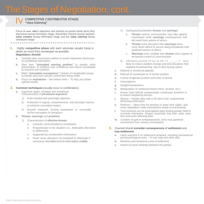### IV **COMPETITIVE / DISTRIBUTIVE STAGE**

**"Value Claiming"**

Focus on **own side's** objectives and interests as parties divide items they discovered during Information Stage. Remember inherent tension between **value creation** during Information Stage and the **value claiming** during Distributive Stage.

#### **1.** Highly **competitive phase** with each advocate usually trying to obtain as much from counterpart as possible. **Negotiators should:**

- **a.** Carefully plan concession pattern to avoid inadvertent disclosure of confidential information.
- **b.** Start from **"principled opening position"** to explain initial presentation, to reinforce own confidence and induce counterpart to reassess own position.
- **c.** Make **"principled concessions,"** instead of inexplicable jumps, to explain why each specific concession being made.
- Focus on **aspirations** Not bottom lines To help you obtain optimal results.

#### **2. Common techniques** (usually occur in combination):

- **a.** Argument (legal, nonlegal and emotional) Characteristics of **persuasive argument**:
	- 1) Even-handed and seemingly objective.
	- 2) Presented in logical, comprehensive, and articulate manner to enhance cumulative impact.
	- 3) Beyond expected, forcing counterpart to reconsider his/her perception of interaction
- **b. Threats, warnings** and **promises**.
	- 1) Characteristics of **effective threats**:
		- a. Carefully communicated to counterpart.
		- b. Proportionate to the situation (*i.e.*, believable alternative to settlement).
		- c. Supported by corroborative information.
		- d. Never issue ultimatum not prepared to effectuate if necessary, since failure to do so would weaken credibility.
- 2) Distinguishing between **threats** and **warnings**:
	- a. **Threats** actions communicator may take against counterpart while **warnings** consequences that will result from actions of others.
	- b. **Threats** more disruptive than **warnings** since more direct affront to person being threatened than predicted actions of others.
	- c. **Warnings** more credible than **threats** since appear to be beyond control of communicator.
- 3) Affirmative promise ("If you do this,  $\lceil \cdot \rceil$   $\qquad \qquad$  ") more likely to induce position change and less disruptive than negative threat/warning, due to face-saving nature.
- **c.** Rational or emotional appeals.
- **d.** Ridicule of counterpart or of his/her position.
- **e.** Control of agenda (content and order of items).
- **f.** Intransigence.
- **g.** Straight-forwardness.
- **h.** Manipulation of contextual factors (time, location, etc.).
- **i.** Humor used ridicule unreasonable counterpart positions or to reduce bargaining tension.
- **j.** Silence People often talk to fill silent void, inadvertently disclosing information.
- **k.** Patience Takes time for persons to lower their sights, and many negotiators make concessions simply to end process.
- **l.** Time pressure can be used against party feeling greater need to conclude interaction. Always remember that *both sides* have time pressures affecting them.
- **m.** Creation of guilt or embarrassment, since may generate concessions from uneasy counterparts.

#### **3.** Counsel should **consider consequences** of **settlement** and **non-settlement**:

- **a.** Likely outcome if no settlement achieved, including transactional and psychological costs – To own side *and* other side.
- **b.** Monetary and emotional costs of settlement
- **c.** Impact on future dealings between the parties.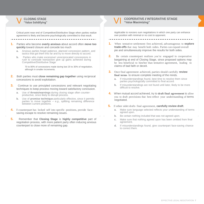

Critical point near end of Competitive/Distributive Stage when parties realize agreement is likely and become psychologically committed to that result.

--------------------------------

**1.** Parties who become **overly anxious** about accord often **move too quickly** toward closure and concede too much

- **a.** Anxious parties forget patience, planned concession pattern, and tactics that got them this far and try to move directly to accord.
- **b.** Parties who make excessive/ unreciprocated concessions in rush to conclude transaction give up gains achieved during Competitive/Distributive Stage

70 to 80% of concessions made during last 20 to 30% of negotiation, although in smaller increments.

- **2.** Both parties must **close remaining gap together** using reciprocal concessions to avoid exploitation.
- **3.** Continue to use principled concessions and relevant negotiating techniques to keep process moving toward satisfactory conclusion.
	- **a.** Use of **threats/warnings** during closing stage often counterproductive, since likely to disrupt process.
	- **b.** Use of **promise technique** particularly effective, since it permits parties to move together – *e.g.,* splitting remaining difference between current positions.
- **4.** lf counterpart has locked self into specific positions, provide facesaving escape to resolve remaining issues.
- **5.** Remember that **Closing Stage** is **highly competitive** part of negotiation process, with more patient party often inducing anxious counterpart to close more of remaining gap.

#### **COOPERATIVE /INTEGRATIVE STAGE "Value Maximizing"**

Applicable to nonzero sum negotiations in which one party can enhance own position with minimal or no cost to opponent.

- **1.** When tentative settlement first achieved, advantageous to **explore trade-offs** that may benefit both sides. Parties can expand overall pie and simultaneously improve the results for both sides.
- **2.** Be certain counterpart realizes you're engaged in cooperative bargaining at end of Closing Stage, since proposed options may be less beneficial to him/her than tentative agreement, leading to claims of bad faith or deceit.
- **3.** Once final agreement achieved, parties should carefully **review final terms** to ensure complete meeting of the minds.
	- **a.** If misunderstandings found, best time to resolve them since parties psychologically committed to final accord.
	- **b.** If misunderstandings are not found until later, likely to be more difficult to resolve.
- **4.** When mutual accord achieved, try to **draft final agreement** to allow you to draft provisions that best reflect your understanding of terms negotiated.
- **5.** If other sidet drafts final agreement, **carefully review draft**.
	- **a.** Make sure language selected reflects your understanding of terms agreed upon.
	- **b.** Be certain nothing included that was not agreed upon.
	- **c.** Make sure that nothing agreed upon has been omitted from final agreement.
	- **d.** If misunderstandings found, give counterpart face-saving chance to correct them.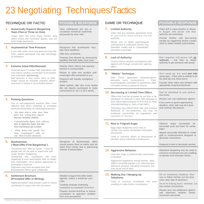# 23 Negotiating Techniques/Tactics

|          | <b>TECHNIQUE OR TACTIC</b>                                                                                                                                                                                                                                                                                                                                                                                             | <b>POSSIBLE RESPONSE</b>                                                                                                                                                                                                                                                                                                                                                                                                       |    | <b>GAME OR TECHNIQUE</b>                                                                                                                                                                                                                                                                                                                                                                                         | <b>POSSIBLE RESPONSE</b>                                                                                                                                                                                                                                                            |  |
|----------|------------------------------------------------------------------------------------------------------------------------------------------------------------------------------------------------------------------------------------------------------------------------------------------------------------------------------------------------------------------------------------------------------------------------|--------------------------------------------------------------------------------------------------------------------------------------------------------------------------------------------------------------------------------------------------------------------------------------------------------------------------------------------------------------------------------------------------------------------------------|----|------------------------------------------------------------------------------------------------------------------------------------------------------------------------------------------------------------------------------------------------------------------------------------------------------------------------------------------------------------------------------------------------------------------|-------------------------------------------------------------------------------------------------------------------------------------------------------------------------------------------------------------------------------------------------------------------------------------|--|
| 1.<br>2. | <b>Numerically Superior Bargaining</b><br>Team (Two or Three on One).<br>Larger team can more easily monitor other<br>side's verbal and nonverbal signals, and out-<br>think single participant.<br><b>Asymmetrical Time Pressure.</b><br>If one side under more time pressure than the                                                                                                                                | Have colleague(s) join you to<br>counteract numerical superiority<br>possessed by other side.<br>Recognize that counterparts may<br>also have deadlines.                                                                                                                                                                                                                                                                       | 7. | <b>Limited Authority.</b><br>Claim that any tentative agreement must<br>be approved by absent principal with final<br>authority.<br>Allows user to obtain psychological<br>commitment to settlement he/she may<br>thereafter modify due to "unexpected"<br>demands of principal.                                                                                                                                 | Place self in same position or refuse<br>to bargain until person with final<br>authority can participate.<br>Provide him/her with face-saving<br>escape by suggesting he/she contact<br>client to obtain needed authorization.                                                      |  |
| З.       | other, patient participant may take advantage<br>of imbalance.<br><b>Extreme Initial Offer/Demand.</b>                                                                                                                                                                                                                                                                                                                 | Hide time constraints.<br>Preempt time element by announcing<br>deadline that both sides must meet.<br>Directly inform offeror that opening<br>position is unreasonable.<br>Refuse to state own position until<br>meaningful offer presented to you.<br>Respond with equally outrageous<br>position.<br>Make realistic offer (but must realize<br>this will require counterpart to make<br>concessions on 10:1 or 20:1 basis). | 8. | <b>Lack of Authority.</b><br>Used to induce careless counterpart to bid<br>against self through consecutive opening<br>offers.                                                                                                                                                                                                                                                                                   | Don't negotiate with person with no<br>authority - Ask them to obtain<br>authority or get someone with power.                                                                                                                                                                       |  |
|          | Good because it creates high aspirations and<br>may induce careless counterpart to reconsider<br>own evaluation (anchoring).<br>Bad because it may cause them to think<br>matter cannot be resolved. Extreme offeror<br>may have to retreat in uncontrolled fashion.                                                                                                                                                   |                                                                                                                                                                                                                                                                                                                                                                                                                                | 9. | "Nibble" Technique.<br>After "Final" agreement achieved, person<br>demands extra concession(s) - Party<br>psychologically committed to agreement often<br>concedes item(s) to preserve accord.                                                                                                                                                                                                                   | Don't merely ask how much own side<br>wants pact - Other side is unlikely to let<br>the deal fail over these items.<br>Counter other sides new demand with<br>appropriate reciprocal demands.                                                                                       |  |
|          | <b>Probing Questions.</b><br>Use of non-judgmental inquiries often more<br>effective than direct challenge to unrealistic<br>positions being taken by intransigent persons.<br>• Ask other side to value most finite<br>items first, writing down figures<br>that are remotely realistic.                                                                                                                              |                                                                                                                                                                                                                                                                                                                                                                                                                                |    | 10. Decreasing or Limited Time Offers.<br>Offers that must be accepted by set time or be<br>withdrawn or reduced in value with passage of<br>time. (Must tellcounterpart of time limit to avoid<br>misunderstanding or claim of bad faith.)<br>Technique may offend other side and increase<br>likelihood of non-settlement, but may be<br>employed successfully by negotiators with<br>reputation for firmness. | Don't be intimidated by such artificial<br>time limits.<br>Review own non-settlement options.<br>If you seem to ignore approaching<br>deadline, other side may let it pass<br>and continue discussions.                                                                             |  |
| 5.       | • If unreasonable figure cited, indicate<br>lack of objective basis and ask<br>how counterpart got number.<br>When done, total usually five<br>times counterpart's offer (or<br>one- fifth of his/her demand).<br><b>Boulwareism</b>                                                                                                                                                                                   | Recipients of Boulwareistic offers<br>should assess them on merits and not<br>reject them merely due to patronizing<br>manner of presentation.                                                                                                                                                                                                                                                                                 |    | 11. Real or Feigned Anger.<br>Real anger dangerous since loss of<br>control may cause unintended information<br>disclosures.<br>Used to convince others of seriousness of<br>situation and to intimidate counterpartst.                                                                                                                                                                                          | Observe angry counterpart for<br>nonverbal clues and listen for verbal<br>leaks.<br>Appear personally offended to create<br>guilt or embarrassment designed to<br>generate concessions.                                                                                             |  |
|          | ("Best-Offer-First Bargaining").<br>Presenting best offer at outset - Used by<br>people who do not wish to waste time with<br>usual "auction" bargaining.<br>Substantial risk counterpart will react<br>negatively to such paternalistic offer no matter<br>how reasonable, since denied opportunity to<br>participate in process.<br>Opponent may have accepted less than<br>Boulwareistic offeror gave unilaterally. |                                                                                                                                                                                                                                                                                                                                                                                                                                |    | 12. Aggressive Behavior.<br>Used like anger to demonstrate seriousness<br>of situation.<br>Aggressive negotiators should monitor other<br>side'st nonverbal signals (e.g., clenched jaw,<br>defensive posture) indicating frustration that<br>may cause end of talks.                                                                                                                                            | Respond in kind or terminate session.<br>Attitudinal bargaining may be used to<br>convince counterpart you are unwilling<br>to tolerate such improper tactics.                                                                                                                      |  |
| 6.       | <b>Settlement Brochure</b><br>(Principled Offer in Writing).<br>Highly-principled initial position used to induce<br>counterpart to arque from this document.                                                                                                                                                                                                                                                          | Mistake to arque from other side's<br>agenda, unless it enhances your<br>case.<br>Carefully evaluate underlying<br>assumptions in counterpart's brochure.<br>Prepare counter-brochure to induce<br>counterpart to approach problem<br>from your perspective.                                                                                                                                                                   |    | 13. Walking Out / Hanging Up<br>Telephone.<br>Used to convince counterpart that actor<br>unwilling to make further concessions.                                                                                                                                                                                                                                                                                  | Do not immediately telephone other<br>side or follow him/her out the door,<br>since clear sign of weakness.<br>Do not let bullying tactics intimidate you<br>into unwise concessions.<br>Review your non-settlement options<br>and determine whether further<br>movement warranted. |  |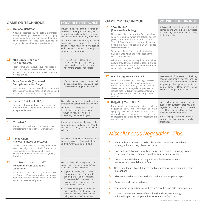#### **GAME OR TECHNIQUE**

#### **14. Irrational Behavior.**

A few negotiators try to obtain advantage through seemingly irrational conduct, hoping to convince others they must accept their onesided demands or face consequences of ongoing dispute with unstable adversary.

#### **15. "IfItWeren't For You" (Or Your Client).**

Party complains about your negotiating behavior or claims present situation caused by your client's prior unfair actions to generate feelings of guilt.

#### **16. False Demands (Discerned During Information Stage).**

Make demands about something counterpart desires and you do not really value Can be used to trade for other item(s) you really value.

#### **17. Uproar ("Chicken Little").**

One side threatens havoc and offers to prevent the dire consequences if other side accepts its demands.

#### **18. "So What."**

Attempt to minimize concession by characterizing it as relatively unimportant.

#### **19. Range Offers (\$40,000, \$45,000 or \$50,000).**

Usually used to indicate flexibility. (but often seen as sign of confusion/weakness.) Preferable to make definitive offer and await further developments before signaling flexibility.

#### **20. "Mutt and Jeff" (Reasonable-Unreasonable Dichotomy).**

Where "reasonable" person sympathizes with your "generous" concessions but emphasizes need for greater concessions to satisfy his/her "unreasonable" partner.

Do not direct all of arguments and concessions to "unreasonable" party to achieve his/her acceptance.

**POSSIBLE RESPONSE** Usually best to ignore seemingly irrational counterpart conduct, since they will generally evaluate proposals in logical manner when they are alone. On rare occasion when truly irrational counterpart encountered, must consider your non-settlement options and decide whether counterpart's

• Don't allow counterpart to create unfair guilt by raising prior matters that are not relevant to present negotiation.

• Counterpart may call your bluff by conceding items you don't want or by discovering your dishonesty.

Carefully evaluate likelihood that the threatened disaster will actually occur. Determine consequences for threatening party if it does occur – Situation may be worse for threatening party than for you.

If your concession is really worth little to counterpart, withdraw it. (You'll discover if it really was of minimal

Recipient of range offer should focus on advantageous end (e.g., plaintiff on \$50,000/defendant on \$40,000).

value.)

demands are preferable.

- If you can satisfy "reasonable" counterpart, you can divide counterparts and whipsaw "unreasonable" person to accept offer accepted by "reasonable" partner.
- If "reasonable" person indicates that he/she must defer to partner's opinion, clear he/she using Mutt and Jeff technique.

#### **GAME OR TECHNIQUE**

#### **21. "Brer Rabbit" (Reverse Psychology).**

Negotiator tells counterpart he/she must have items A, B and C, (which are actually second goals) and then indicates need for "at least X, Y, and Z," (which are true primary objectives), hoping that win–lose counterpart will impose least desired terms.

Technique often effective against win–lose bargainer who wants to provide result other side seems to want least.

While adroit negotiator may induce win–lose party to provide what is actually desired, should not be used against win–win person who may actually give them A, B and C.

### **POSSIBLE RESPONSE**

If beneficial, give in to their stated demands and watch them equivocate as they try to move toward truly desired objectives.

#### **22. Passive-Aggressive Behavior.**

Generally employed by seemingly passive person who is really very aggressive – Person does not directly indicate his/her dissatisfaction with negotiation process but instead tries to disrupt transaction indirectly (*e.g.*, shows up late; fails to bring needed papers).

#### **23. Bel|y-Up ("Yes..., But...").**

Party (wolf in sheepskin) feigns lack of negotiating ability and knowledge to evoke sympathy and weaken other side's resolve – Acknowledges reasonableness of their concessions *but* explains why concessions are not sufficient.

Never allow belly-up counterpart to evoke such sympathy that you alter negotiation plans and concede everything in an effort to find a "solution" for this poor soul.

Take control of situation by obtaining needed documents yourself and by preparing draft of agreement reached to preempt that person's ability to disrupt things – Once person faced with fait accompli, tend to give up.

Force belly-up counterpart to state own position that you can directly challenge.

### *Miscellaneous Negotiation Tips*

- **1.** Thorough preparation of both substantive issues *and* negotiation strategy critical to negotiation success.
- **2.** Can be forceful advocate without being unpleasant. Opposing lawyer is not your enemy – They are enabling you to earn a living.
- **3.** Loss of integrity destroys negotiators effectiveness Never misrepresent material law or fact.
- **4.** Never use tactic which if discovered by counterpart would impede future interactions.
- **5.** Silence is golden When in doubt, wait for counterpart to speak.
- **6.** Be active and careful listener.
- **7.** Try to avoid negotiating without having specific non-settlement option.
- **8.** Always remember power of well-timed and sincere apology acknowledging counterpart's loss or emotional feelings.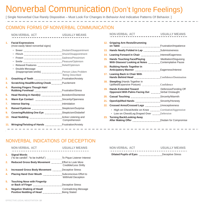### Nonverbal Communication (Don't Ignore Feelings)

[ Single Nonverbal Clue Rarely Dispositive – Must Look For Changes In Behavior And Indicative Patterns Of Behavior. ]

### COMMON FORMS OF NONVERBAL COMMUNICATION

| <b>NON-VERBAL ACT</b>                                                                                                     | <b>USUALLY MEANS</b>   |     | <b>NON-VERBAL ACT</b>                                                                     | <b>USUALLY MEANS</b>  |
|---------------------------------------------------------------------------------------------------------------------------|------------------------|-----|-------------------------------------------------------------------------------------------|-----------------------|
| <b>Facial Expressions</b><br>(most easily faked nonverbal signs)                                                          |                        |     | 12. Gripping Arm Rests/Drumming                                                           |                       |
|                                                                                                                           |                        |     | 13. Hands Neatly Folded in Lap  Submissiveness                                            |                       |
|                                                                                                                           |                        | 14. |                                                                                           |                       |
|                                                                                                                           |                        | 15. | <b>Hands Touching Face/Playing</b><br>With Glasses/ Looking at Notes  Contemplative Pause | Meditation/Disquising |
| • Relaxed Features <b>Manual Accord Relief/Optimism</b><br>• Double Message<br>(inappropriate smile) Person Likes Problem |                        | 16. | <b>Rubbing Hands Together in</b><br>Anticipatory Manner  Eagerness/Interest               |                       |
| 2.                                                                                                                        | <b>Being Described</b> |     | 17. Leaning Back in Chair With                                                            |                       |
| Scratching Head/Brushing Cheek Puzzlement<br>3.                                                                           |                        | 18. | <b>Steepling (Hands Together in</b>                                                       |                       |
| <b>Running Fingers Though Hair/</b><br>4.<br>Rubbing Forehead  Frustration/Stress                                         |                        | 19. | <b>Hands Extended Toward</b><br>Opponent With Palms Facing Out Werbal Onslaught           | Defensive/Fending Off |
| 5.                                                                                                                        |                        | 20. |                                                                                           |                       |
| 6.                                                                                                                        |                        | 21. | Open/Uplifted Hands  Sincerity/Honesty                                                    |                       |
| 7.                                                                                                                        |                        | 22. | Crossed Arms/Crossed Legs Unreceptiveness                                                 |                       |
| 8.                                                                                                                        |                        |     | • High on Chest/Ankle on Knee Combative/Aggressive                                        |                       |
| 9.                                                                                                                        |                        |     | • Low on Chest/Leg Draped Over Defensive                                                  |                       |
| 10.                                                                                                                       | Comprehension          | 23. | <b>Turning Back/Looking Away</b>                                                          |                       |
| 11. Wringing/Twisting of Hands  Frustration/Anxiety                                                                       |                        |     |                                                                                           |                       |

| 12. | <b>Gripping Arm Rests/Drumming</b>                                                                                        |                       |
|-----|---------------------------------------------------------------------------------------------------------------------------|-----------------------|
| 13. | Hands Neatly Folded in Lap  Submissiveness                                                                                |                       |
| 14. | Leaning Forward in Chair  Interest/Eagerness                                                                              |                       |
| 15. | <b>Hands Touching Face/Playing Carroller Meditation/Disguising</b><br>With Glasses/ Looking at Notes  Contemplative Pause |                       |
| 16. | <b>Rubbing Hands Together in</b><br>Anticipatory Manner  Eagerness/Interest                                               |                       |
| 17. | <b>Leaning Back in Chair With</b>                                                                                         |                       |
| 18. | <b>Steepling (Hands Together in</b><br>Uplifted/Expansive Posture) Confidence                                             |                       |
| 19. | <b>Hands Extended Toward</b><br>Opponent With Palms Facing Out <b>Manney State One</b> Verbal Onslaught                   | Defensive/Fending Off |
| 20. |                                                                                                                           |                       |
| 21. | Open/Uplifted Hands  Sincerity/Honesty                                                                                    |                       |
| 22. | Crossed Arms/Crossed Legs Unreceptiveness                                                                                 |                       |
|     | • High on Chest/Ankle on Knee Combative/Aggressive                                                                        |                       |
|     | • Low on Chest/Leg Draped Over Defensive                                                                                  |                       |
|     | 23. Turning Back/Looking Away<br>After Making Offer [1111][11] Disdain for Compromise                                     |                       |
|     |                                                                                                                           |                       |

### NONVERBAL INDICATIONS OF DECEPTION

|    | <b>NON-VERBAL ACT</b>                                                                     | <b>USUALLY MEANS</b>                                | <b>NON-VERBAL ACT</b>                   | <b>USUALLY MEANS</b> |
|----|-------------------------------------------------------------------------------------------|-----------------------------------------------------|-----------------------------------------|----------------------|
|    | <b>Signal Words</b><br>("to be candid"; "to be truthful") To Pique Listener Interest      |                                                     | Dilated Pupils of Eyes Deceptive Stress |                      |
| 2. | Reduced Gross Body Movement  Effort to Look More                                          | Credible/Less Shifty                                |                                         |                      |
| 3. | <b>Increased Gross Body Movement</b> Deceptive Stress                                     |                                                     |                                         |                      |
| 4. | <b>Placing Hand Over Mouth Constrainer Subconscious Effort to</b>                         | <b>Withhold Deception</b>                           |                                         |                      |
| 5. | <b>Touching Nose with Fingertip</b><br>or Back of Finger                                  | <b>Deceptive Stress</b>                             |                                         |                      |
| 6. | Negative Shaking of Head/<br>Positive Nodding of Head [111] [11] Positive Nodding of Head | <b>Contradicting Message</b><br><b>Being Stated</b> |                                         |                      |

| <b>NON-VERBAL ACT</b>         | <b>USUALLY MEANS</b>      |
|-------------------------------|---------------------------|
|                               |                           |
| <b>Dilated Pupils of Eyes</b> | <b>T</b> Deceptive Stress |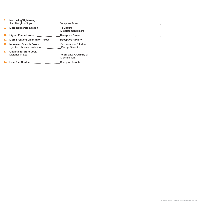| 8.  | Narrowing/Tightening of<br>Red Margin of Lips                  | Deceptive Stress                                   | $\sim 10^{-1}$ |
|-----|----------------------------------------------------------------|----------------------------------------------------|----------------|
| 9.  | More Deliberate Speech                                         | <b>To Ensure</b><br><b>Misstatement Heard</b>      |                |
| 10. | Higher Pitched Voice                                           | <b>Deceptive Stress</b>                            |                |
| 11. | More Frequent Clearing of Throat                               | <b>Deceptive Anxiety</b>                           |                |
| 12. | <b>Increased Speech Errors</b><br>(broken phrases, stuttering) | Subconscious Effort to<br><b>Disrupt Deception</b> |                |
| 13. | <b>Obvious Effort to Look</b>                                  | To Enhance Credibility of<br>Misstatement          |                |
|     | <b>Less Eye Contact</b>                                        | Deceptive Anxiety                                  |                |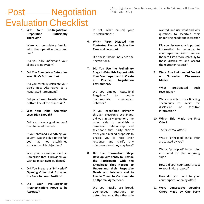# **Negotiation** Evaluation Checklist

[ After Significant Negotiations, take Time To Ask Yourself How You Think You Did. ]

1. **Was Your Pre-Negotiation Preparation Sufficiently Thorough?**

> Were you completely familiar with the operative facts and law?

Did you fully understand your client's value system?

2. **Did You Completely Determine Your Side's Bottom Line?**

> Did you carefully calculate your side's Best Alternative to a Negotiated Agreement?

> Did you attempt to estimate the bottom line of the *other side*?

3. **Was Your Initial Aspiration Level High Enough?**

> Did you have a goal for *each item* to be addressed?

If you obtained everything you sought, was this due to the fact you had not established sufficiently high objectives?

Was your aspiration level so unrealistic that it provided you with no meaningful guidance?

- 4. **Did You Prepare a "Principled" Opening Offer that Explained the Basis for Your Position?**
- 5. **Did Your Pre-Bargaining Prognostications Prove to be Accurate?**

If not, what caused your miscalculations?

6. **Which Party Dictated the Contextual Factors Such as the Time and Location?**

> Did these factors influence the negotiations?

7. **Did You Use the Preliminary Stage to Establish Rapport with Your Counterpart and to Create a Positive Negotiation Environment?**

> Did you employ "Attitudinal Bargaining" to modify inappropriate counterpart behavior?

If you negotiated primarily through electronic exchanges, did you initially telephone the other side to establish a beneficial relationship and telephone that party shortly after you e-mailed proposals to enable you to hear their response and clarify any misconceptions they may have?

8. **Did the Information Stage Develop Sufficiently to Provide the Participants with the Knowledge They Needed to Understand their Respective Needs and Interests and to Enable Them to Consummate an Optimal Agreement?**

> Did you initially use broad, open-ended questions to determine what the other side

wanted, and use what and why questions to ascertain their underlying needs and interests?

Did you disclose your important information in response to counterpart inquiries to induce them to listen more carefully to those disclosures and accord them greater respect?

9. **Were Any Unintended Verbal or Nonverbal Disclosures Made?**

> What precipitated such revelations?

Were you able to use Blocking Techniques to avoid the disclosure of sensitive information?

10. **Which Side Made the First Offer?**

The first "real offer"?

Was a "principled" initial offer articulated by you?

Was a "principled" initial offer articulated by the opposing side?

How did your counterpart react to your initial proposal?

How did you react to your counterpart's opening offer?

11. **Were Consecutive Opening Offers Made by One Party**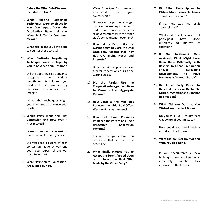**Before the Other Side Disclosed Its Initial Position?**

12. **What Specific Bargaining Techniques Were Employed by Your Counterpart During the Distributive Stage and How Were Such Tactics Countered by You?**

> What else might you have done to counter those tactics?

13. **What Particular Negotiating Techniques Were Employed by You to Advance Your Position?**

> Did the opposing side appear to recognize the various negotiating techniques you used, and, if so, how did they endeavor to minimize their impact?

What other techniques might you have used to advance your position?

14. **Which Party Made the First Concession and How Was It Precipitated?**

> Were subsequent concessions made on an alternating basis?

> Did you keep a record of each concession made by you and your counterpart throughout the interaction?

15. **Were "Principled" Concessions Articulated by You?**

Were "principled" concessions articulated by your counterpart?

Did successive position changes involved decreasing increments and were those increments relatively reciprocal to the other side's concomitant movement?

16. **How Did the Parties Use the Closing Stage to Close the Deal Once They Realized that They Had Overlapping Needs and Interests?**

> Did either side appear to make greater concessions during the Closing Stage?

- 17. **Did the Parties Use the Cooperative/Integrative Stage to Maximize Their Aggregate Returns?**
- 18. **How Close to the Mid-Point Between the Initial Real Offers Was the Final Settlement?**
- 19. **How Did Time Pressures Influence the Parties and Their Respective Concession Patterns?**

Try not to ignore the time pressures that affected the other side.

20. **What Finally Induced You to Accept the Terms Agreed Upon or to Reject the Final Offer Made by the Other Party?**

21. **Did Either Party Appear to Obtain More Favorable Terms Than the Other Side?**

> If so, how was this result accomplished?

> What could the less successful participant have done differently to improve its situation?

- 22. **If No Settlement Was Achieved, What Might Have Been Done Differently With Respect to Client Preparation and/or Bargaining Developments to Have Produced a Different Result?**
- 23. **Did Either Party Resort to Deceitful Tactics or Deliberate Misrepresentations to Enhance Its Situation?**
- 24. **What Did You Do that You Wished You Had Not Done?**

Do you think your counterpart was aware of your mistake?

How could you avoid such a mistake in the future?

#### 25. **What Did You Not Do that You Wish You Had Done?**

If you encountered a new technique, how could you most effectively counter this approach in the future?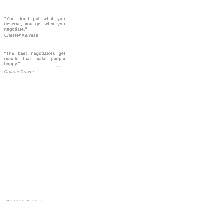**"You don't get what you deserve, you get what you negotiate."** *Chester Karrass*

**"The best negotiators get results that make people happy."** —

*Charlie Craver*